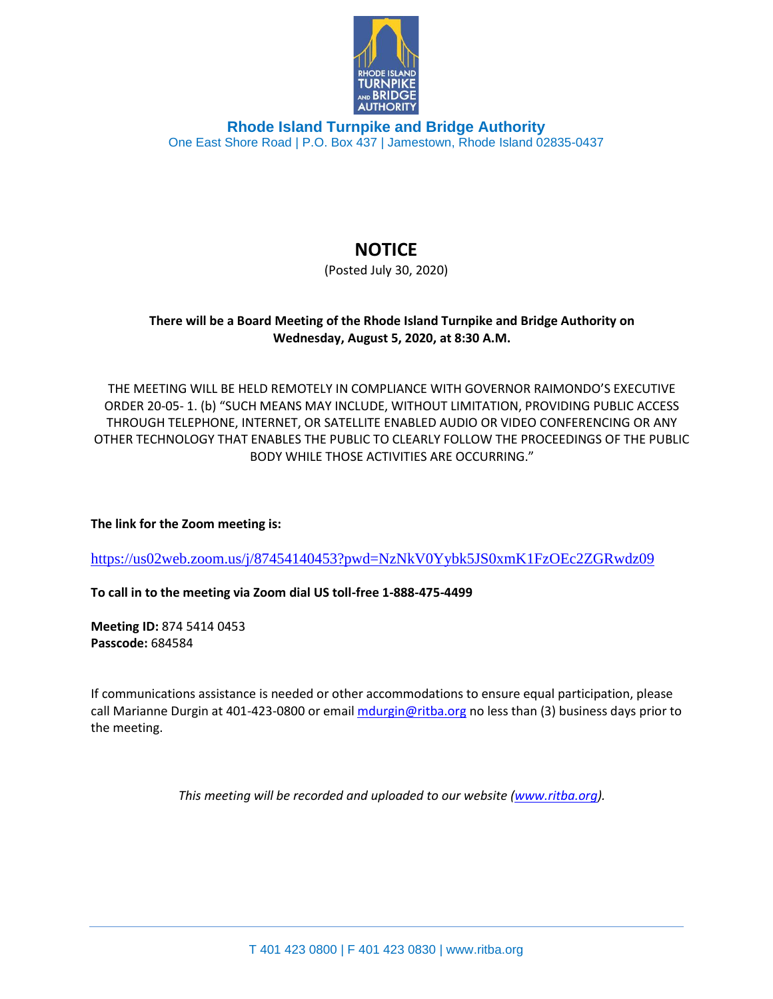

**Rhode Island Turnpike and Bridge Authority** One East Shore Road | P.O. Box 437 | Jamestown, Rhode Island 02835-0437

## **NOTICE**

(Posted July 30, 2020)

## **There will be a Board Meeting of the Rhode Island Turnpike and Bridge Authority on Wednesday, August 5, 2020, at 8:30 A.M.**

THE MEETING WILL BE HELD REMOTELY IN COMPLIANCE WITH GOVERNOR RAIMONDO'S EXECUTIVE ORDER 20-05- 1. (b) "SUCH MEANS MAY INCLUDE, WITHOUT LIMITATION, PROVIDING PUBLIC ACCESS THROUGH TELEPHONE, INTERNET, OR SATELLITE ENABLED AUDIO OR VIDEO CONFERENCING OR ANY OTHER TECHNOLOGY THAT ENABLES THE PUBLIC TO CLEARLY FOLLOW THE PROCEEDINGS OF THE PUBLIC BODY WHILE THOSE ACTIVITIES ARE OCCURRING."

**The link for the Zoom meeting is:**

<https://us02web.zoom.us/j/87454140453?pwd=NzNkV0Yybk5JS0xmK1FzOEc2ZGRwdz09>

**To call in to the meeting via Zoom dial US toll-free 1-888-475-4499**

**Meeting ID:** 874 5414 0453 **Passcode:** 684584

If communications assistance is needed or other accommodations to ensure equal participation, please call Marianne Durgin at 401-423-0800 or email [mdurgin@ritba.org](mailto:mdurgin@ritba.org) no less than (3) business days prior to the meeting.

*This meeting will be recorded and uploaded to our website [\(www.ritba.org\)](http://www.ritba.org/).*